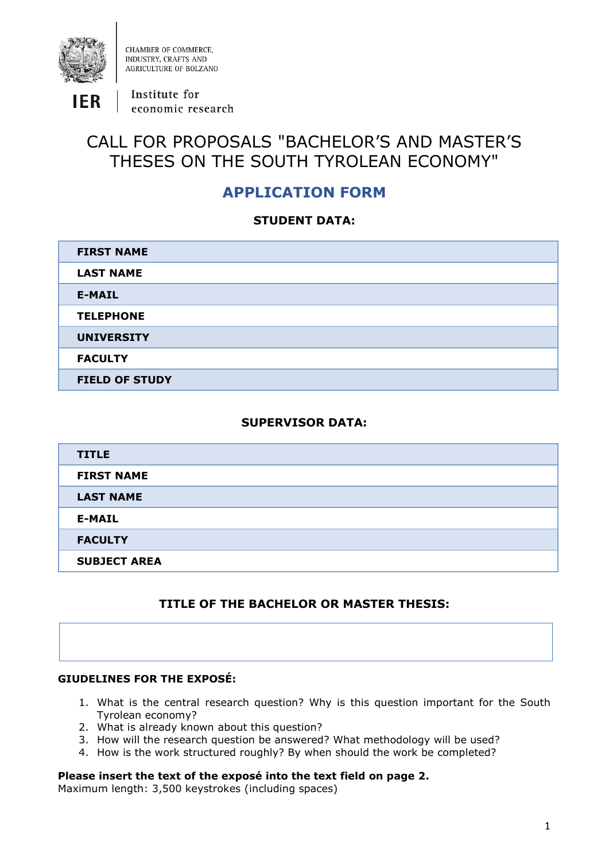

CHAMBER OF COMMERCE. INDUSTRY, CRAFTS AND AGRICULTURE OF BOLZANO

Institute for IFR economic research

# CALL FOR PROPOSALS "BACHELOR'S AND MASTER'S THESES ON THE SOUTH TYROLEAN ECONOMY"

## **APPLICATION FORM**

### **STUDENT DATA:**

| <b>FIRST NAME</b>     |
|-----------------------|
| <b>LAST NAME</b>      |
| <b>E-MAIL</b>         |
| <b>TELEPHONE</b>      |
| <b>UNIVERSITY</b>     |
| <b>FACULTY</b>        |
| <b>FIELD OF STUDY</b> |

### **SUPERVISOR DATA:**

| <b>TITLE</b>        |
|---------------------|
| <b>FIRST NAME</b>   |
| <b>LAST NAME</b>    |
| <b>E-MAIL</b>       |
| <b>FACULTY</b>      |
| <b>SUBJECT AREA</b> |

## **TITLE OF THE BACHELOR OR MASTER THESIS:**

#### **GIUDELINES FOR THE EXPOSÉ:**

- 1. What is the central research question? Why is this question important for the South Tyrolean economy?
- 2. What is already known about this question?
- 3. How will the research question be answered? What methodology will be used?
- 4. How is the work structured roughly? By when should the work be completed?

#### **Please insert the text of the exposé into the text field on page 2.**

Maximum length: 3,500 keystrokes (including spaces)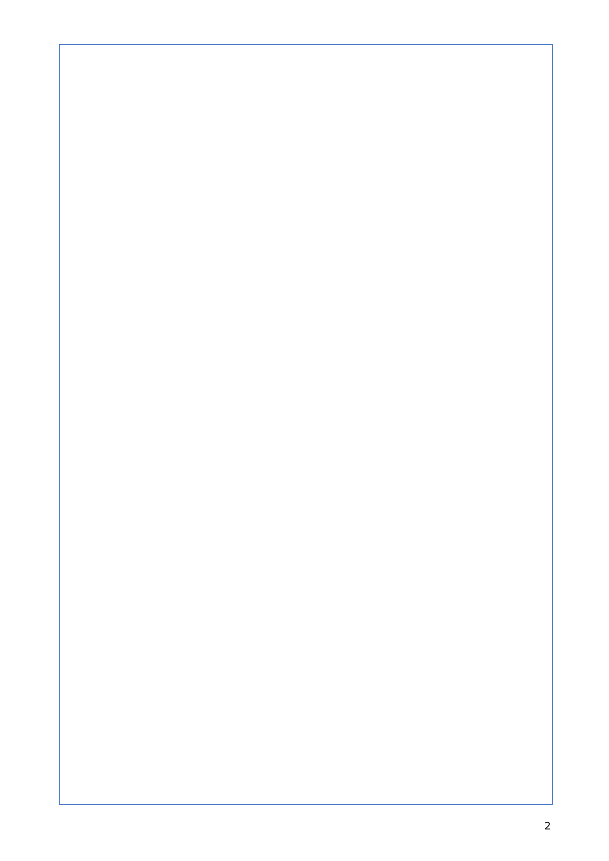